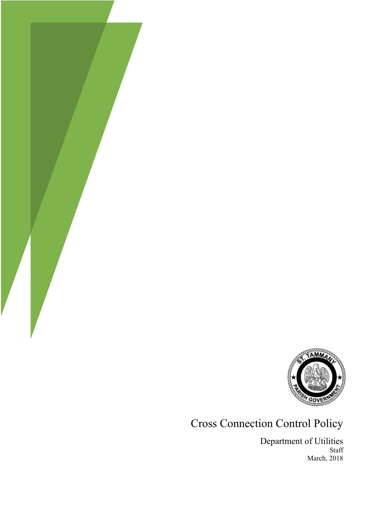

#### Cross Connection Control Policy

Department of Utilities Staff March, 2018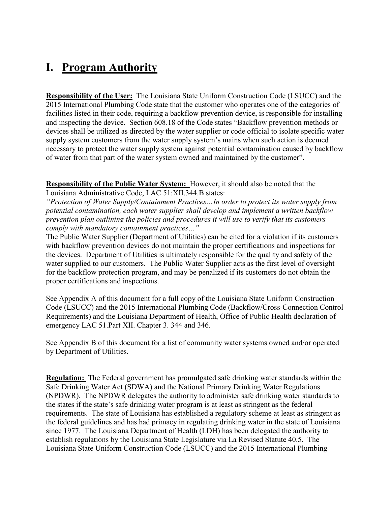#### **I. Program Authority**

**Responsibility of the User:** The Louisiana State Uniform Construction Code (LSUCC) and the 2015 International Plumbing Code state that the customer who operates one of the categories of facilities listed in their code, requiring a backflow prevention device, is responsible for installing and inspecting the device. Section 608.18 of the Code states "Backflow prevention methods or devices shall be utilized as directed by the water supplier or code official to isolate specific water supply system customers from the water supply system's mains when such action is deemed necessary to protect the water supply system against potential contamination caused by backflow of water from that part of the water system owned and maintained by the customer".

**Responsibility of the Public Water System:** However, it should also be noted that the Louisiana Administrative Code, LAC 51:XII.344.B states:

*"Protection of Water Supply/Containment Practices…In order to protect its water supply from potential contamination, each water supplier shall develop and implement a written backflow prevention plan outlining the policies and procedures it will use to verify that its customers comply with mandatory containment practices…"* 

The Public Water Supplier (Department of Utilities) can be cited for a violation if its customers with backflow prevention devices do not maintain the proper certifications and inspections for the devices. Department of Utilities is ultimately responsible for the quality and safety of the water supplied to our customers. The Public Water Supplier acts as the first level of oversight for the backflow protection program, and may be penalized if its customers do not obtain the proper certifications and inspections.

See Appendix A of this document for a full copy of the Louisiana State Uniform Construction Code (LSUCC) and the 2015 International Plumbing Code (Backflow/Cross-Connection Control Requirements) and the Louisiana Department of Health, Office of Public Health declaration of emergency LAC 51.Part XII. Chapter 3. 344 and 346.

See Appendix B of this document for a list of community water systems owned and/or operated by Department of Utilities.

**Regulation:** The Federal government has promulgated safe drinking water standards within the Safe Drinking Water Act (SDWA) and the National Primary Drinking Water Regulations (NPDWR). The NPDWR delegates the authority to administer safe drinking water standards to the states if the state's safe drinking water program is at least as stringent as the federal requirements. The state of Louisiana has established a regulatory scheme at least as stringent as the federal guidelines and has had primacy in regulating drinking water in the state of Louisiana since 1977. The Louisiana Department of Health (LDH) has been delegated the authority to establish regulations by the Louisiana State Legislature via La Revised Statute 40.5. The Louisiana State Uniform Construction Code (LSUCC) and the 2015 International Plumbing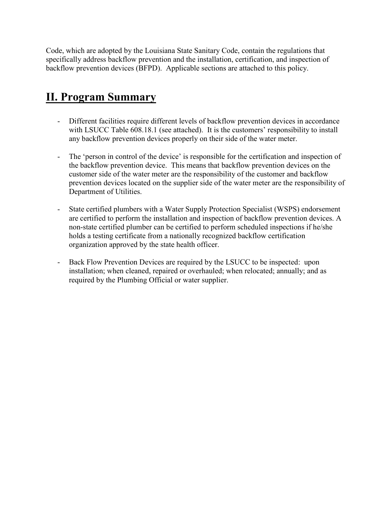Code, which are adopted by the Louisiana State Sanitary Code, contain the regulations that specifically address backflow prevention and the installation, certification, and inspection of backflow prevention devices (BFPD). Applicable sections are attached to this policy.

#### **II. Program Summary**

- Different facilities require different levels of backflow prevention devices in accordance with LSUCC Table 608.18.1 (see attached). It is the customers' responsibility to install any backflow prevention devices properly on their side of the water meter.
- The 'person in control of the device' is responsible for the certification and inspection of the backflow prevention device. This means that backflow prevention devices on the customer side of the water meter are the responsibility of the customer and backflow prevention devices located on the supplier side of the water meter are the responsibility of Department of Utilities.
- State certified plumbers with a Water Supply Protection Specialist (WSPS) endorsement are certified to perform the installation and inspection of backflow prevention devices. A non-state certified plumber can be certified to perform scheduled inspections if he/she holds a testing certificate from a nationally recognized backflow certification organization approved by the state health officer.
- Back Flow Prevention Devices are required by the LSUCC to be inspected: upon installation; when cleaned, repaired or overhauled; when relocated; annually; and as required by the Plumbing Official or water supplier.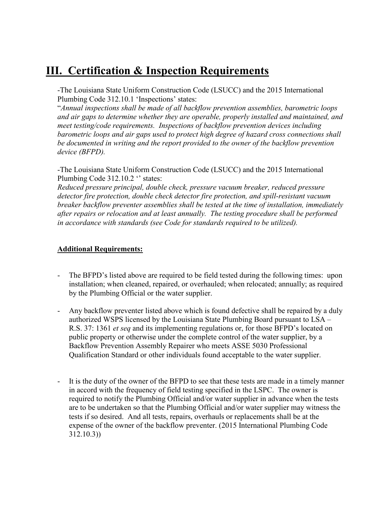#### **III. Certification & Inspection Requirements**

-The Louisiana State Uniform Construction Code (LSUCC) and the 2015 International Plumbing Code 312.10.1 'Inspections' states:

"*Annual inspections shall be made of all backflow prevention assemblies, barometric loops and air gaps to determine whether they are operable, properly installed and maintained, and meet testing/code requirements. Inspections of backflow prevention devices including barometric loops and air gaps used to protect high degree of hazard cross connections shall be documented in writing and the report provided to the owner of the backflow prevention device (BFPD).*

-The Louisiana State Uniform Construction Code (LSUCC) and the 2015 International Plumbing Code 312.10.2 '' states:

*Reduced pressure principal, double check, pressure vacuum breaker, reduced pressure detector fire protection, double check detector fire protection, and spill-resistant vacuum breaker backflow preventer assemblies shall be tested at the time of installation, immediately after repairs or relocation and at least annually. The testing procedure shall be performed in accordance with standards (see Code for standards required to be utilized).*

#### **Additional Requirements:**

- The BFPD's listed above are required to be field tested during the following times: upon installation; when cleaned, repaired, or overhauled; when relocated; annually; as required by the Plumbing Official or the water supplier.
- Any backflow preventer listed above which is found defective shall be repaired by a duly authorized WSPS licensed by the Louisiana State Plumbing Board pursuant to LSA – R.S. 37: 1361 *et seq* and its implementing regulations or, for those BFPD's located on public property or otherwise under the complete control of the water supplier, by a Backflow Prevention Assembly Repairer who meets ASSE 5030 Professional Qualification Standard or other individuals found acceptable to the water supplier.
- It is the duty of the owner of the BFPD to see that these tests are made in a timely manner in accord with the frequency of field testing specified in the LSPC. The owner is required to notify the Plumbing Official and/or water supplier in advance when the tests are to be undertaken so that the Plumbing Official and/or water supplier may witness the tests if so desired. And all tests, repairs, overhauls or replacements shall be at the expense of the owner of the backflow preventer. (2015 International Plumbing Code 312.10.3))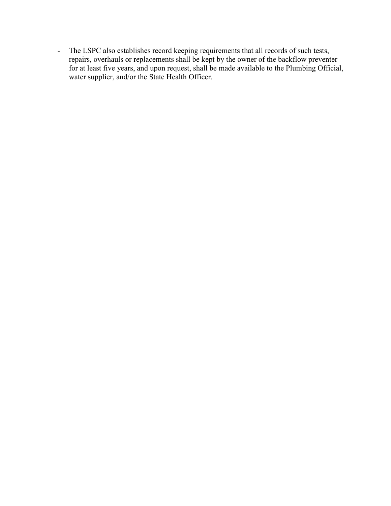- The LSPC also establishes record keeping requirements that all records of such tests, repairs, overhauls or replacements shall be kept by the owner of the backflow preventer for at least five years, and upon request, shall be made available to the Plumbing Official, water supplier, and/or the State Health Officer.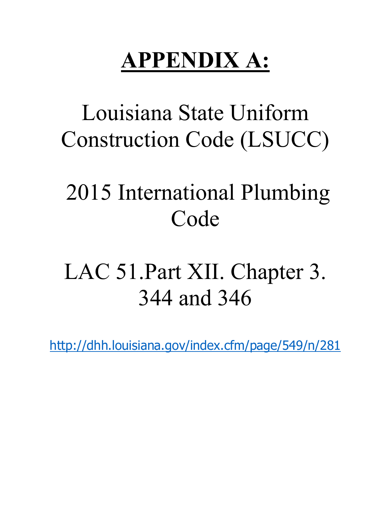# **APPENDIX A:**

### Louisiana State Uniform Construction Code (LSUCC)

### 2015 International Plumbing Code

# LAC 51.Part XII. Chapter 3. 344 and 346

<http://dhh.louisiana.gov/index.cfm/page/549/n/281>